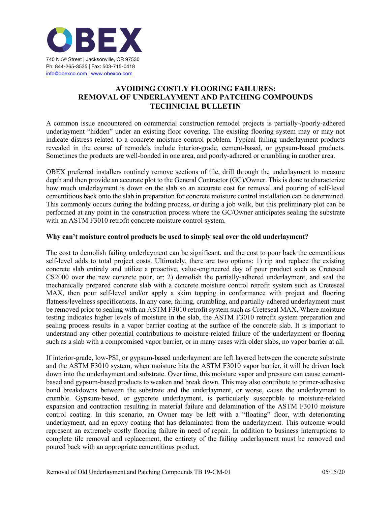

## **AVOIDING COSTLY FLOORING FAILURES: REMOVAL OF UNDERLAYMENT AND PATCHING COMPOUNDS TECHNICIAL BULLETIN**

A common issue encountered on commercial construction remodel projects is partially-/poorly-adhered underlayment "hidden" under an existing floor covering. The existing flooring system may or may not indicate distress related to a concrete moisture control problem. Typical failing underlayment products revealed in the course of remodels include interior-grade, cement-based, or gypsum-based products. Sometimes the products are well-bonded in one area, and poorly-adhered or crumbling in another area.

OBEX preferred installers routinely remove sections of tile, drill through the underlayment to measure depth and then provide an accurate plot to the General Contractor (GC)/Owner. This is done to characterize how much underlayment is down on the slab so an accurate cost for removal and pouring of self-level cementitious back onto the slab in preparation for concrete moisture control installation can be determined. This commonly occurs during the bidding process, or during a job walk, but this preliminary plot can be performed at any point in the construction process where the GC/Owner anticipates sealing the substrate with an ASTM F3010 retrofit concrete moisture control system.

## **Why can't moisture control products be used to simply seal over the old underlayment?**

The cost to demolish failing underlayment can be significant, and the cost to pour back the cementitious self-level adds to total project costs. Ultimately, there are two options: 1) rip and replace the existing concrete slab entirely and utilize a proactive, value-engineered day of pour product such as Creteseal CS2000 over the new concrete pour, or; 2) demolish the partially-adhered underlayment, and seal the mechanically prepared concrete slab with a concrete moisture control retrofit system such as Creteseal MAX, then pour self-level and/or apply a skim topping in conformance with project and flooring flatness/levelness specifications. In any case, failing, crumbling, and partially-adhered underlayment must be removed prior to sealing with an ASTM F3010 retrofit system such as Creteseal MAX. Where moisture testing indicates higher levels of moisture in the slab, the ASTM F3010 retrofit system preparation and sealing process results in a vapor barrier coating at the surface of the concrete slab. It is important to understand any other potential contributions to moisture-related failure of the underlayment or flooring such as a slab with a compromised vapor barrier, or in many cases with older slabs, no vapor barrier at all.

If interior-grade, low-PSI, or gypsum-based underlayment are left layered between the concrete substrate and the ASTM F3010 system, when moisture hits the ASTM F3010 vapor barrier, it will be driven back down into the underlayment and substrate. Over time, this moisture vapor and pressure can cause cementbased and gypsum-based products to weaken and break down. This may also contribute to primer-adhesive bond breakdowns between the substrate and the underlayment, or worse, cause the underlayment to crumble. Gypsum-based, or gypcrete underlayment, is particularly susceptible to moisture-related expansion and contraction resulting in material failure and delamination of the ASTM F3010 moisture control coating. In this scenario, an Owner may be left with a "floating" floor, with deteriorating underlayment, and an epoxy coating that has delaminated from the underlayment. This outcome would represent an extremely costly flooring failure in need of repair. In addition to business interruptions to complete tile removal and replacement, the entirety of the failing underlayment must be removed and poured back with an appropriate cementitious product.